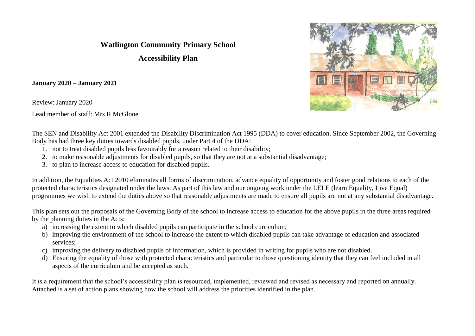## **Watlington Community Primary School**

**Accessibility Plan**

**January 2020 – January 2021**

Review: January 2020

Lead member of staff: Mrs R McGlone



The SEN and Disability Act 2001 extended the Disability Discrimination Act 1995 (DDA) to cover education. Since September 2002, the Governing Body has had three key duties towards disabled pupils, under Part 4 of the DDA:

- 1. not to treat disabled pupils less favourably for a reason related to their disability;
- 2. to make reasonable adjustments for disabled pupils, so that they are not at a substantial disadvantage;
- 3. to plan to increase access to education for disabled pupils.

In addition, the Equalities Act 2010 eliminates all forms of discrimination, advance equality of opportunity and foster good relations to each of the protected characteristics designated under the laws. As part of this law and our ongoing work under the LELE (learn Equality, Live Equal) programmes we wish to extend the duties above so that reasonable adjustments are made to ensure all pupils are not at any substantial disadvantage.

This plan sets out the proposals of the Governing Body of the school to increase access to education for the above pupils in the three areas required by the planning duties in the Acts:

- a) increasing the extent to which disabled pupils can participate in the school curriculum;
- b) improving the environment of the school to increase the extent to which disabled pupils can take advantage of education and associated services;
- c) improving the delivery to disabled pupils of information, which is provided in writing for pupils who are not disabled.
- d) Ensuring the equality of those with protected characteristics and particular to those questioning identity that they can feel included in all aspects of the curriculum and be accepted as such.

It is a requirement that the school's accessibility plan is resourced, implemented, reviewed and revised as necessary and reported on annually. Attached is a set of action plans showing how the school will address the priorities identified in the plan.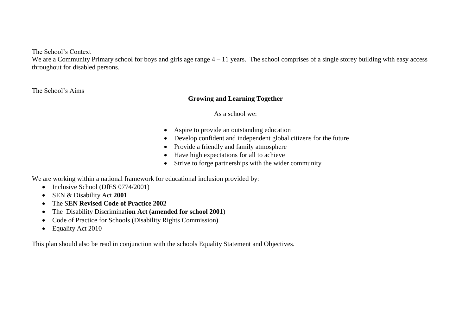The School's Context

We are a Community Primary school for boys and girls age range  $4 - 11$  years. The school comprises of a single storey building with easy access throughout for disabled persons.

The School's Aims

## **Growing and Learning Together**

As a school we:

- Aspire to provide an outstanding education
- Develop confident and independent global citizens for the future
- Provide a friendly and family atmosphere
- Have high expectations for all to achieve
- Strive to forge partnerships with the wider community

We are working within a national framework for educational inclusion provided by:

- Inclusive School (DfES 0774/2001)
- SEN & Disability Act **2001**
- The S**EN Revised Code of Practice 2002**
- The Disability Discriminat**ion Act (amended for school 2001**)
- Code of Practice for Schools (Disability Rights Commission)
- Equality Act 2010

This plan should also be read in conjunction with the schools Equality Statement and Objectives.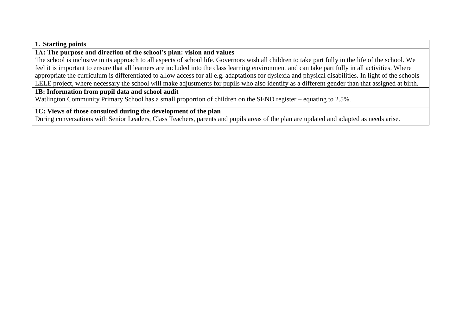#### **1. Starting points**

## **1A: The purpose and direction of the school's plan: vision and values**

The school is inclusive in its approach to all aspects of school life. Governors wish all children to take part fully in the life of the school. We feel it is important to ensure that all learners are included into the class learning environment and can take part fully in all activities. Where appropriate the curriculum is differentiated to allow access for all e.g. adaptations for dyslexia and physical disabilities. In light of the schools LELE project, where necessary the school will make adjustments for pupils who also identify as a different gender than that assigned at birth.

#### **1B: Information from pupil data and school audit**

Watlington Community Primary School has a small proportion of children on the SEND register – equating to 2.5%.

## **1C: Views of those consulted during the development of the plan**

During conversations with Senior Leaders, Class Teachers, parents and pupils areas of the plan are updated and adapted as needs arise.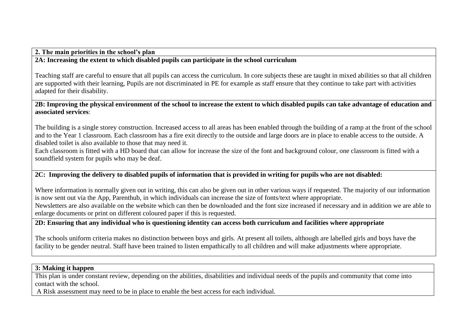**2. The main priorities in the school's plan**

## **2A: Increasing the extent to which disabled pupils can participate in the school curriculum**

Teaching staff are careful to ensure that all pupils can access the curriculum. In core subjects these are taught in mixed abilities so that all children are supported with their learning, Pupils are not discriminated in PE for example as staff ensure that they continue to take part with activities adapted for their disability.

#### **2B: Improving the physical environment of the school to increase the extent to which disabled pupils can take advantage of education and associated services**:

The building is a single storey construction. Increased access to all areas has been enabled through the building of a ramp at the front of the school and to the Year 1 classroom. Each classroom has a fire exit directly to the outside and large doors are in place to enable access to the outside. A disabled toilet is also available to those that may need it.

Each classroom is fitted with a HD board that can allow for increase the size of the font and background colour, one classroom is fitted with a soundfield system for pupils who may be deaf.

## **2C: Improving the delivery to disabled pupils of information that is provided in writing for pupils who are not disabled:**

Where information is normally given out in writing, this can also be given out in other various ways if requested. The majority of our information is now sent out via the App, Parenthub, in which individuals can increase the size of fonts/text where appropriate. Newsletters are also available on the website which can then be downloaded and the font size increased if necessary and in addition we are able to enlarge documents or print on different coloured paper if this is requested.

## **2D: Ensuring that any individual who is questioning identity can access both curriculum and facilities where appropriate**

The schools uniform criteria makes no distinction between boys and girls. At present all toilets, although are labelled girls and boys have the facility to be gender neutral. Staff have been trained to listen empathically to all children and will make adjustments where appropriate.

#### **3: Making it happen**

This plan is under constant review, depending on the abilities, disabilities and individual needs of the pupils and community that come into contact with the school.

A Risk assessment may need to be in place to enable the best access for each individual.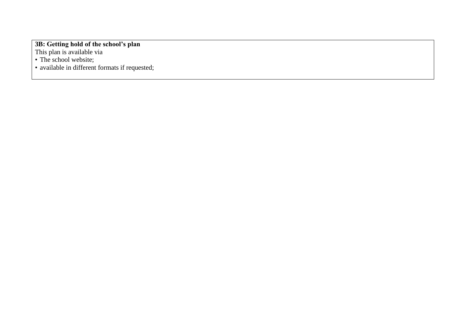#### **3B: Getting hold of the school's plan**

This plan is available via

• The school website;

• available in different formats if requested;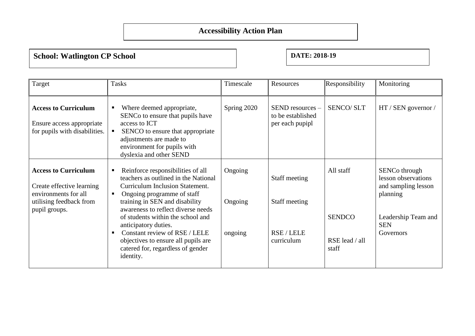# **Accessibility Action Plan**

**School: Watlington CP School DATE: 2018-19** 

| Target                                                                                                                       | <b>Tasks</b>                                                                                                                                                                                                                                                                                                                                                                                                                           | Timescale                     | Resources                                                    | Responsibility                                        | Monitoring                                                                                                                            |
|------------------------------------------------------------------------------------------------------------------------------|----------------------------------------------------------------------------------------------------------------------------------------------------------------------------------------------------------------------------------------------------------------------------------------------------------------------------------------------------------------------------------------------------------------------------------------|-------------------------------|--------------------------------------------------------------|-------------------------------------------------------|---------------------------------------------------------------------------------------------------------------------------------------|
| <b>Access to Curriculum</b><br>Ensure access appropriate<br>for pupils with disabilities.                                    | Where deemed appropriate,<br>ш<br>SENCo to ensure that pupils have<br>access to ICT<br>SENCO to ensure that appropriate<br>$\blacksquare$<br>adjustments are made to<br>environment for pupils with<br>dyslexia and other SEND                                                                                                                                                                                                         | Spring 2020                   | $SEND$ resources $-$<br>to be established<br>per each pupipl | <b>SENCO/SLT</b>                                      | HT / SEN governor /                                                                                                                   |
| <b>Access to Curriculum</b><br>Create effective learning<br>environments for all<br>utilising feedback from<br>pupil groups. | Reinforce responsibilities of all<br>п.<br>teachers as outlined in the National<br>Curriculum Inclusion Statement.<br>Ongoing programme of staff<br>٠<br>training in SEN and disability<br>awareness to reflect diverse needs<br>of students within the school and<br>anticipatory duties.<br>Constant review of RSE / LELE<br>$\blacksquare$<br>objectives to ensure all pupils are<br>catered for, regardless of gender<br>identity. | Ongoing<br>Ongoing<br>ongoing | Staff meeting<br>Staff meeting<br>RSE / LELE<br>curriculum   | All staff<br><b>SENDCO</b><br>RSE lead / all<br>staff | SENC <sub>o</sub> through<br>lesson observations<br>and sampling lesson<br>planning<br>Leadership Team and<br><b>SEN</b><br>Governors |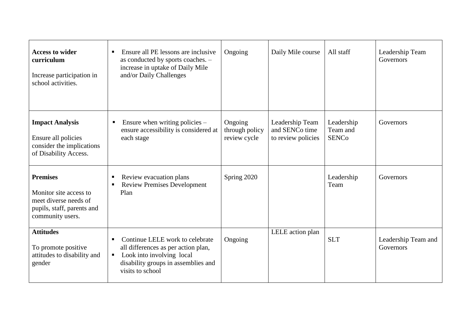| <b>Access to wider</b><br>curriculum<br>Increase participation in<br>school activities.                              | Ensure all PE lessons are inclusive<br>$\blacksquare$<br>as conducted by sports coaches. -<br>increase in uptake of Daily Mile<br>and/or Daily Challenges                             | Ongoing                                   | Daily Mile course                                       | All staff                              | Leadership Team<br>Governors     |
|----------------------------------------------------------------------------------------------------------------------|---------------------------------------------------------------------------------------------------------------------------------------------------------------------------------------|-------------------------------------------|---------------------------------------------------------|----------------------------------------|----------------------------------|
| <b>Impact Analysis</b><br>Ensure all policies<br>consider the implications<br>of Disability Access.                  | Ensure when writing policies $-$<br>$\blacksquare$<br>ensure accessibility is considered at<br>each stage                                                                             | Ongoing<br>through policy<br>review cycle | Leadership Team<br>and SENCo time<br>to review policies | Leadership<br>Team and<br><b>SENCo</b> | Governors                        |
| <b>Premises</b><br>Monitor site access to<br>meet diverse needs of<br>pupils, staff, parents and<br>community users. | Review evacuation plans<br>п<br><b>Review Premises Development</b><br>٠<br>Plan                                                                                                       | Spring 2020                               |                                                         | Leadership<br>Team                     | Governors                        |
| <b>Attitudes</b><br>To promote positive<br>attitudes to disability and<br>gender                                     | Continue LELE work to celebrate<br>٠<br>all differences as per action plan,<br>Look into involving local<br>$\blacksquare$<br>disability groups in assemblies and<br>visits to school | Ongoing                                   | LELE action plan                                        | <b>SLT</b>                             | Leadership Team and<br>Governors |